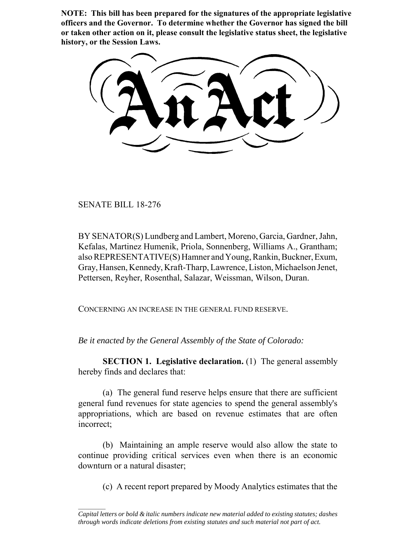**NOTE: This bill has been prepared for the signatures of the appropriate legislative officers and the Governor. To determine whether the Governor has signed the bill or taken other action on it, please consult the legislative status sheet, the legislative history, or the Session Laws.**

SENATE BILL 18-276

BY SENATOR(S) Lundberg and Lambert, Moreno, Garcia, Gardner, Jahn, Kefalas, Martinez Humenik, Priola, Sonnenberg, Williams A., Grantham; also REPRESENTATIVE(S) Hamner and Young, Rankin, Buckner, Exum, Gray, Hansen, Kennedy, Kraft-Tharp, Lawrence, Liston, Michaelson Jenet, Pettersen, Reyher, Rosenthal, Salazar, Weissman, Wilson, Duran.

CONCERNING AN INCREASE IN THE GENERAL FUND RESERVE.

*Be it enacted by the General Assembly of the State of Colorado:*

**SECTION 1. Legislative declaration.** (1) The general assembly hereby finds and declares that:

(a) The general fund reserve helps ensure that there are sufficient general fund revenues for state agencies to spend the general assembly's appropriations, which are based on revenue estimates that are often incorrect;

(b) Maintaining an ample reserve would also allow the state to continue providing critical services even when there is an economic downturn or a natural disaster;

(c) A recent report prepared by Moody Analytics estimates that the

 $\frac{1}{2}$ *Capital letters or bold & italic numbers indicate new material added to existing statutes; dashes through words indicate deletions from existing statutes and such material not part of act.*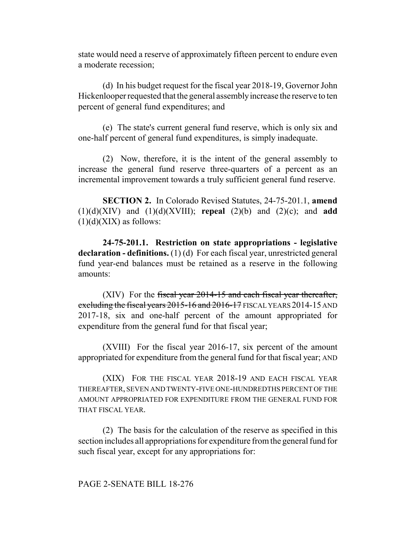state would need a reserve of approximately fifteen percent to endure even a moderate recession;

(d) In his budget request for the fiscal year 2018-19, Governor John Hickenlooper requested that the general assembly increase the reserve to ten percent of general fund expenditures; and

(e) The state's current general fund reserve, which is only six and one-half percent of general fund expenditures, is simply inadequate.

(2) Now, therefore, it is the intent of the general assembly to increase the general fund reserve three-quarters of a percent as an incremental improvement towards a truly sufficient general fund reserve.

**SECTION 2.** In Colorado Revised Statutes, 24-75-201.1, **amend** (1)(d)(XIV) and (1)(d)(XVIII); **repeal** (2)(b) and (2)(c); and **add**  $(1)(d)(XIX)$  as follows:

**24-75-201.1. Restriction on state appropriations - legislative declaration - definitions.** (1) (d) For each fiscal year, unrestricted general fund year-end balances must be retained as a reserve in the following amounts:

 $(XIV)$  For the fiscal year 2014-15 and each fiscal year thereafter, excluding the fiscal years 2015-16 and 2016-17 FISCAL YEARS 2014-15 AND 2017-18, six and one-half percent of the amount appropriated for expenditure from the general fund for that fiscal year;

(XVIII) For the fiscal year 2016-17, six percent of the amount appropriated for expenditure from the general fund for that fiscal year; AND

(XIX) FOR THE FISCAL YEAR 2018-19 AND EACH FISCAL YEAR THEREAFTER, SEVEN AND TWENTY-FIVE ONE-HUNDREDTHS PERCENT OF THE AMOUNT APPROPRIATED FOR EXPENDITURE FROM THE GENERAL FUND FOR THAT FISCAL YEAR.

(2) The basis for the calculation of the reserve as specified in this section includes all appropriations for expenditure from the general fund for such fiscal year, except for any appropriations for: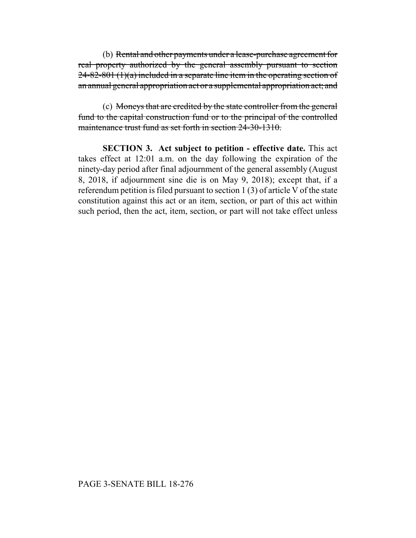(b) Rental and other payments under a lease-purchase agreement for real property authorized by the general assembly pursuant to section  $24-82-801(1)(a)$  included in a separate line item in the operating section of an annual general appropriation act or a supplemental appropriation act; and

(c) Moneys that are credited by the state controller from the general fund to the capital construction fund or to the principal of the controlled maintenance trust fund as set forth in section 24-30-1310.

**SECTION 3. Act subject to petition - effective date.** This act takes effect at 12:01 a.m. on the day following the expiration of the ninety-day period after final adjournment of the general assembly (August 8, 2018, if adjournment sine die is on May 9, 2018); except that, if a referendum petition is filed pursuant to section 1 (3) of article V of the state constitution against this act or an item, section, or part of this act within such period, then the act, item, section, or part will not take effect unless